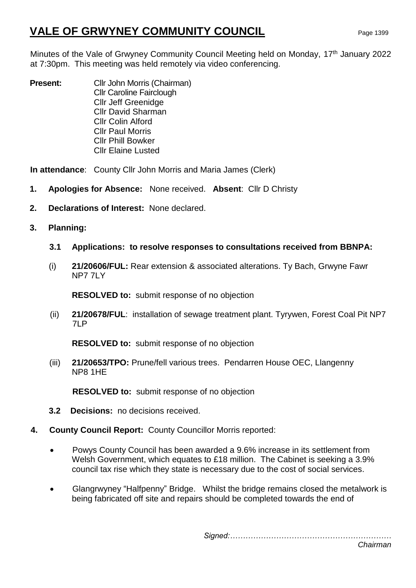# **VALE OF GRWYNEY COMMUNITY COUNCIL** Page 1399

Minutes of the Vale of Grwyney Community Council Meeting held on Monday, 17<sup>th</sup> January 2022 at 7:30pm. This meeting was held remotely via video conferencing.

**Present:** Cllr John Morris (Chairman) Cllr Caroline Fairclough Cllr Jeff Greenidge Cllr David Sharman Cllr Colin Alford Cllr Paul Morris Cllr Phill Bowker Cllr Elaine Lusted

**In attendance**: County Cllr John Morris and Maria James (Clerk)

- **1. Apologies for Absence:** None received. **Absent**: Cllr D Christy
- **2. Declarations of Interest:** None declared.
- **3. Planning:** 
	- **3.1 Applications: to resolve responses to consultations received from BBNPA:**
	- (i) **21/20606/FUL:** Rear extension & associated alterations. Ty Bach, Grwyne Fawr NP7 7LY

**RESOLVED to:** submit response of no objection

(ii) **21/20678/FUL**: installation of sewage treatment plant. Tyrywen, Forest Coal Pit NP7 7LP

**RESOLVED to:** submit response of no objection

(iii) **21/20653/TPO:** Prune/fell various trees. Pendarren House OEC, Llangenny NP8 1HE

**RESOLVED to:** submit response of no objection

- **3.2 Decisions:** no decisions received.
- **4. County Council Report:** County Councillor Morris reported:
	- Powys County Council has been awarded a 9.6% increase in its settlement from Welsh Government, which equates to £18 million. The Cabinet is seeking a 3.9% council tax rise which they state is necessary due to the cost of social services.
	- Glangrwyney "Halfpenny" Bridge. Whilst the bridge remains closed the metalwork is being fabricated off site and repairs should be completed towards the end of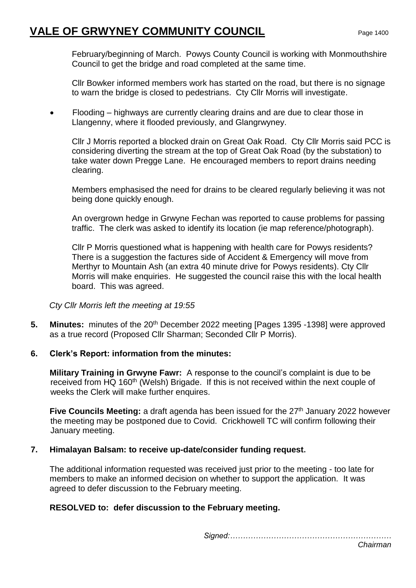# **VALE OF GRWYNEY COMMUNITY COUNCIL** Page 1400

February/beginning of March. Powys County Council is working with Monmouthshire Council to get the bridge and road completed at the same time.

Cllr Bowker informed members work has started on the road, but there is no signage to warn the bridge is closed to pedestrians. Cty Cllr Morris will investigate.

 Flooding – highways are currently clearing drains and are due to clear those in Llangenny, where it flooded previously, and Glangrwyney.

Cllr J Morris reported a blocked drain on Great Oak Road. Cty Cllr Morris said PCC is considering diverting the stream at the top of Great Oak Road (by the substation) to take water down Pregge Lane. He encouraged members to report drains needing clearing.

Members emphasised the need for drains to be cleared regularly believing it was not being done quickly enough.

An overgrown hedge in Grwyne Fechan was reported to cause problems for passing traffic. The clerk was asked to identify its location (ie map reference/photograph).

Cllr P Morris questioned what is happening with health care for Powys residents? There is a suggestion the factures side of Accident & Emergency will move from Merthyr to Mountain Ash (an extra 40 minute drive for Powys residents). Cty Cllr Morris will make enquiries. He suggested the council raise this with the local health board. This was agreed.

*Cty Cllr Morris left the meeting at 19:55*

**5. Minutes:** minutes of the 20<sup>th</sup> December 2022 meeting [Pages 1395 -1398] were approved as a true record (Proposed Cllr Sharman; Seconded Cllr P Morris).

## **6. Clerk's Report: information from the minutes:**

**Military Training in Grwyne Fawr:** A response to the council's complaint is due to be received from HQ 160<sup>th</sup> (Welsh) Brigade. If this is not received within the next couple of weeks the Clerk will make further enquires.

**Five Councils Meeting:** a draft agenda has been issued for the 27<sup>th</sup> January 2022 however the meeting may be postponed due to Covid. Crickhowell TC will confirm following their January meeting.

## **7. Himalayan Balsam: to receive up-date/consider funding request.**

The additional information requested was received just prior to the meeting - too late for members to make an informed decision on whether to support the application. It was agreed to defer discussion to the February meeting.

## **RESOLVED to: defer discussion to the February meeting.**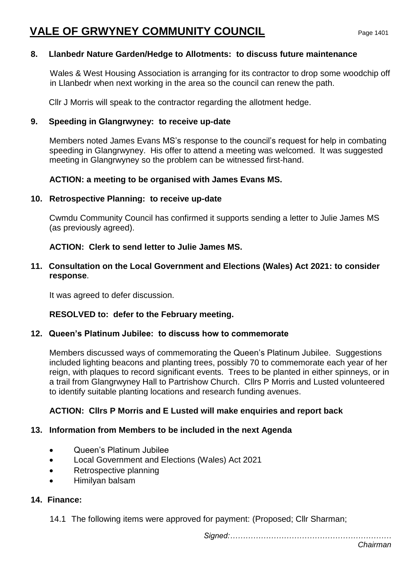# **8. Llanbedr Nature Garden/Hedge to Allotments: to discuss future maintenance**

Wales & West Housing Association is arranging for its contractor to drop some woodchip off in Llanbedr when next working in the area so the council can renew the path.

Cllr J Morris will speak to the contractor regarding the allotment hedge.

# **9. Speeding in Glangrwyney: to receive up-date**

Members noted James Evans MS's response to the council's request for help in combating speeding in Glangrwyney. His offer to attend a meeting was welcomed. It was suggested meeting in Glangrwyney so the problem can be witnessed first-hand.

# **ACTION: a meeting to be organised with James Evans MS.**

## **10. Retrospective Planning: to receive up-date**

Cwmdu Community Council has confirmed it supports sending a letter to Julie James MS (as previously agreed).

# **ACTION: Clerk to send letter to Julie James MS.**

**11. Consultation on the Local Government and Elections (Wales) Act 2021: to consider response**.

It was agreed to defer discussion.

# **RESOLVED to: defer to the February meeting.**

## **12. Queen's Platinum Jubilee: to discuss how to commemorate**

Members discussed ways of commemorating the Queen's Platinum Jubilee. Suggestions included lighting beacons and planting trees, possibly 70 to commemorate each year of her reign, with plaques to record significant events. Trees to be planted in either spinneys, or in a trail from Glangrwyney Hall to Partrishow Church. Cllrs P Morris and Lusted volunteered to identify suitable planting locations and research funding avenues.

# **ACTION: Cllrs P Morris and E Lusted will make enquiries and report back**

## **13. Information from Members to be included in the next Agenda**

- Queen's Platinum Jubilee
- Local Government and Elections (Wales) Act 2021
- Retrospective planning
- Himilyan balsam

## **14. Finance:**

14.1 The following items were approved for payment: (Proposed; Cllr Sharman;